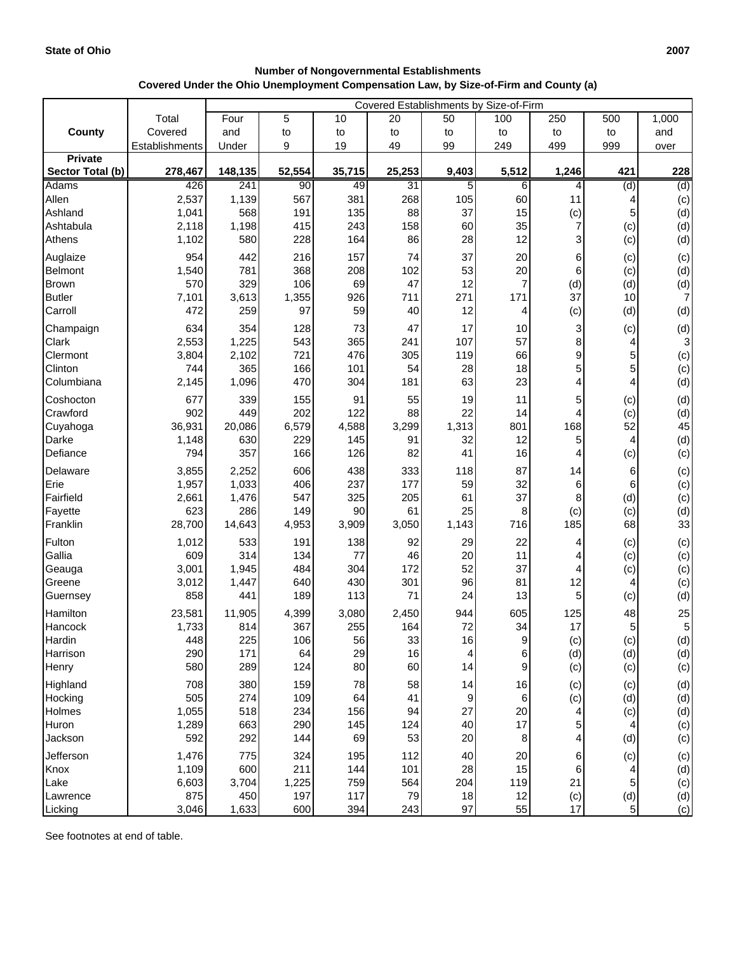| <b>Number of Nongovernmental Establishments</b>                                      |
|--------------------------------------------------------------------------------------|
| Covered Under the Ohio Unemployment Compensation Law, by Size-of-Firm and County (a) |

|                       |                | Covered Establishments by Size-of-Firm |              |            |            |           |                |           |                |                 |
|-----------------------|----------------|----------------------------------------|--------------|------------|------------|-----------|----------------|-----------|----------------|-----------------|
|                       | Total          | Four                                   | 5            | 10         | 20         | 50        | 100            | 250       | 500            | 1,000           |
| County                | Covered        | and                                    | to           | to         | to         | to        | to             | to        | to             | and             |
|                       | Establishments | Under                                  | 9            | 19         | 49         | 99        | 249            | 499       | 999            | over            |
| <b>Private</b>        |                |                                        |              |            |            |           |                |           |                |                 |
| Sector Total (b)      | 278,467        | 148,135                                | 52,554       | 35,715     | 25,253     | 9,403     | 5,512          | 1,246     | 421            | 228             |
| <b>Adams</b><br>Allen | 426<br>2,537   | 241<br>1,139                           | 90<br>567    | 49<br>381  | 31<br>268  | 5<br>105  | 6<br>60        | 4<br>11   | (d)            | (d)             |
| Ashland               | 1,041          | 568                                    | 191          | 135        | 88         | 37        | 15             | (c)       | 5              | (c)<br>(d)      |
| Ashtabula             | 2,118          | 1,198                                  | 415          | 243        | 158        | 60        | 35             | 7         | (c)            | (d)             |
| Athens                | 1,102          | 580                                    | 228          | 164        | 86         | 28        | 12             | 3         | (c)            | (d)             |
| Auglaize              | 954            | 442                                    | 216          | 157        | 74         | 37        | 20             | 6         | (c)            | (c)             |
| <b>Belmont</b>        | 1,540          | 781                                    | 368          | 208        | 102        | 53        | 20             | 6         | (c)            | (d)             |
| <b>Brown</b>          | 570            | 329                                    | 106          | 69         | 47         | 12        | $\overline{7}$ | (d)       | (d)            | (d)             |
| <b>Butler</b>         | 7,101          | 3,613                                  | 1,355        | 926        | 711        | 271       | 171            | 37        | 10             | 7               |
| Carroll               | 472            | 259                                    | 97           | 59         | 40         | 12        | 4              | (c)       | (d)            | (d)             |
| Champaign             | 634            | 354                                    | 128          | 73         | 47         | 17        | 10             | 3         | (c)            | (d)             |
| Clark                 | 2,553          | 1,225                                  | 543          | 365        | 241        | 107       | 57             | 8         | 4              | $\mathbf{3}$    |
| Clermont              | 3,804          | 2,102                                  | 721          | 476        | 305        | 119       | 66             | 9         | 5              | (c)             |
| Clinton               | 744            | 365                                    | 166          | 101        | 54         | 28        | 18             | 5         | 5              | (c)             |
| Columbiana            | 2,145          | 1,096                                  | 470          | 304        | 181        | 63        | 23             | 4         | 4              | (d)             |
| Coshocton             | 677            | 339                                    | 155          | 91         | 55         | 19        | 11             | 5         | (c)            | (d)             |
| Crawford              | 902            | 449                                    | 202          | 122        | 88         | 22        | 14             | 4         | (c)            | (d)             |
| Cuyahoga              | 36,931         | 20,086                                 | 6,579        | 4,588      | 3,299      | 1,313     | 801            | 168       | 52             | 45              |
| Darke                 | 1,148          | 630                                    | 229          | 145        | 91         | 32        | 12             | 5         | 4              | (d)             |
| Defiance              | 794            | 357                                    | 166          | 126        | 82         | 41        | 16             | 4         | (c)            | (c)             |
| Delaware              | 3,855          | 2,252                                  | 606          | 438        | 333        | 118       | 87             | 14        | 6              | (c)             |
| Erie<br>Fairfield     | 1,957          | 1,033                                  | 406<br>547   | 237<br>325 | 177<br>205 | 59<br>61  | 32<br>37       | 6         | 6              | (c)             |
| Fayette               | 2,661<br>623   | 1,476<br>286                           | 149          | 90         | 61         | 25        | 8              | 8<br>(c)  | (d)<br>(c)     | (c)<br>(d)      |
| Franklin              | 28,700         | 14,643                                 | 4,953        | 3,909      | 3,050      | 1,143     | 716            | 185       | 68             | 33              |
| Fulton                | 1,012          | 533                                    | 191          | 138        | 92         | 29        | 22             | 4         | (c)            | (c)             |
| Gallia                | 609            | 314                                    | 134          | 77         | 46         | 20        | 11             | 4         | (c)            | (c)             |
| Geauga                | 3,001          | 1,945                                  | 484          | 304        | 172        | 52        | 37             | 4         | (c)            | (c)             |
| Greene                | 3,012          | 1,447                                  | 640          | 430        | 301        | 96        | 81             | 12        | 4              | (c)             |
| Guernsey              | 858            | 441                                    | 189          | 113        | 71         | 24        | 13             | 5         | (c)            | (d)             |
| Hamilton              | 23,581         | 11,905                                 | 4,399        | 3,080      | 2,450      | 944       | 605            | 125       | 48             | 25              |
| Hancock               | 1,733          | 814                                    | 367          | 255        | 164        | 72        | 34             | 17        | 5              | $5\overline{)}$ |
| Hardin                | 448            | 225                                    | 106          | 56         | 33         | 16        | 9              | (c)       | (c)            | (d)             |
| Harrison              | 290            | 171                                    | 64           | 29         | 16         | 4         | 6              | (d)       | (d)            | (d)             |
| Henry                 | 580            | 289                                    | 124          | 80         | 60         | 14        | $\mathsf g$    | (c)       | (c)            | (c)             |
| Highland              | 708            | 380                                    | 159          | 78         | 58         | 14        | 16             | (c)       | (c)            | (d)             |
| Hocking               | 505            | 274                                    | 109          | 64         | 41         | 9         | 6              | (c)       | (d)            | (d)             |
| Holmes                | 1,055          | 518                                    | 234          | 156        | 94         | 27        | 20             | 4         | (c)            | (d)             |
| Huron                 | 1,289          | 663                                    | 290          | 145        | 124        | 40        | 17             | 5         |                | (c)             |
| Jackson               | 592            | 292                                    | 144          | 69         | 53         | 20        | 8              | 4         | (d)            | (c)             |
| Jefferson             | 1,476          | 775                                    | 324          | 195        | 112        | 40        | 20             | 6         | (c)            | (c)             |
| Knox                  | 1,109          | 600                                    | 211          | 144        | 101        | 28        | 15             | 6         |                | (d)             |
| Lake<br>Lawrence      | 6,603<br>875   | 3,704<br>450                           | 1,225<br>197 | 759<br>117 | 564<br>79  | 204<br>18 | 119<br>12      | 21        | 5<br>(d)       | (c)<br>(d)      |
| Licking               | 3,046          | 1,633                                  | 600          | 394        | 243        | 97        | 55             | (c)<br>17 | 5 <sup>1</sup> | (c)             |

See footnotes at end of table.